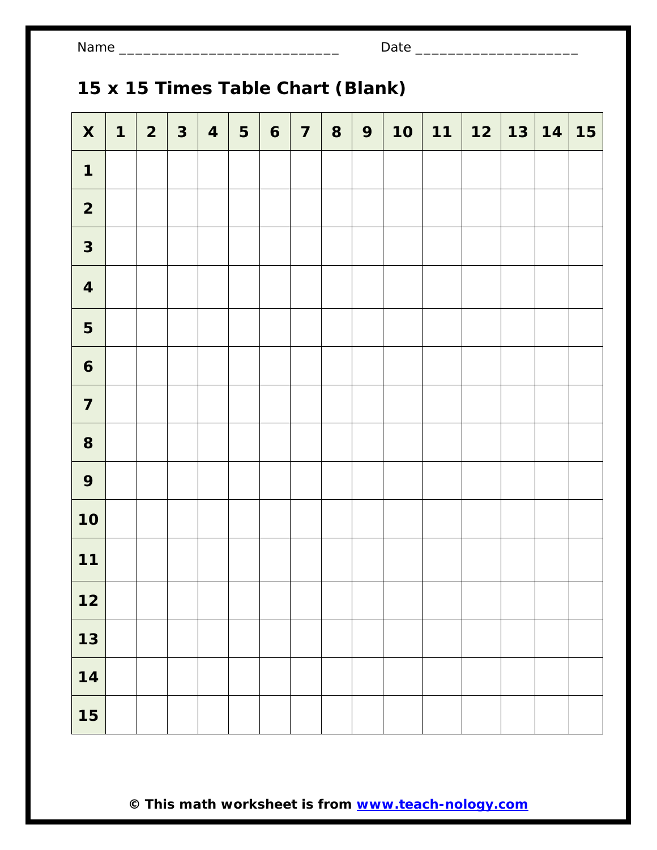# **15 x 15 Times Table Chart (Blank)**

| $\boldsymbol{\mathsf{X}}$ | $\mathbf 1$ | $\overline{2}$ | $\mathbf{3}$ | $\overline{\mathbf{4}}$ | 5 | $\mathbf{6}$ | $\overline{7}$ | 8 | 9 | 10 | $11 \mid 12$ | 13 14 | <b>15</b> |
|---------------------------|-------------|----------------|--------------|-------------------------|---|--------------|----------------|---|---|----|--------------|-------|-----------|
| $\mathbf 1$               |             |                |              |                         |   |              |                |   |   |    |              |       |           |
| $\overline{\mathbf{2}}$   |             |                |              |                         |   |              |                |   |   |    |              |       |           |
| $\mathbf{3}$              |             |                |              |                         |   |              |                |   |   |    |              |       |           |
| $\overline{\mathbf{4}}$   |             |                |              |                         |   |              |                |   |   |    |              |       |           |
| 5                         |             |                |              |                         |   |              |                |   |   |    |              |       |           |
| $\boldsymbol{6}$          |             |                |              |                         |   |              |                |   |   |    |              |       |           |
| $\overline{\mathbf{7}}$   |             |                |              |                         |   |              |                |   |   |    |              |       |           |
| 8                         |             |                |              |                         |   |              |                |   |   |    |              |       |           |
| 9                         |             |                |              |                         |   |              |                |   |   |    |              |       |           |
| 10                        |             |                |              |                         |   |              |                |   |   |    |              |       |           |
| $11$                      |             |                |              |                         |   |              |                |   |   |    |              |       |           |
| $12$                      |             |                |              |                         |   |              |                |   |   |    |              |       |           |
| $13$                      |             |                |              |                         |   |              |                |   |   |    |              |       |           |
| 14                        |             |                |              |                         |   |              |                |   |   |    |              |       |           |
| 15                        |             |                |              |                         |   |              |                |   |   |    |              |       |           |

**© This math worksheet is from www.teach-nology.com**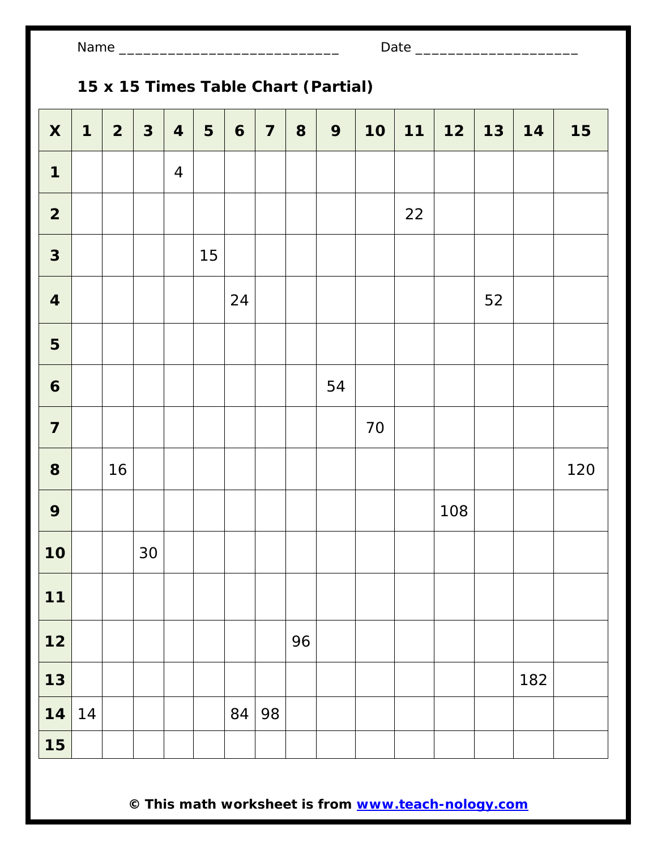| Name |  |
|------|--|
|------|--|

# **15 x 15 Times Table Chart (Partial)**

| $\pmb{\mathsf{X}}$      | $\mathbf 1$ | $\overline{2}$ | $\mathbf{3}$ | $\overline{\mathbf{4}}$ | 5  | $\boldsymbol{6}$ | $\overline{\mathbf{7}}$ | 8  | 9  | 10 | $11$ | $12$ | $13$ | 14  | 15  |
|-------------------------|-------------|----------------|--------------|-------------------------|----|------------------|-------------------------|----|----|----|------|------|------|-----|-----|
| 1                       |             |                |              | $\overline{4}$          |    |                  |                         |    |    |    |      |      |      |     |     |
| $\overline{\mathbf{2}}$ |             |                |              |                         |    |                  |                         |    |    |    | 22   |      |      |     |     |
| $\mathbf{3}$            |             |                |              |                         | 15 |                  |                         |    |    |    |      |      |      |     |     |
| $\overline{\mathbf{4}}$ |             |                |              |                         |    | 24               |                         |    |    |    |      |      | 52   |     |     |
| 5                       |             |                |              |                         |    |                  |                         |    |    |    |      |      |      |     |     |
| $\boldsymbol{6}$        |             |                |              |                         |    |                  |                         |    | 54 |    |      |      |      |     |     |
| $\overline{\mathbf{7}}$ |             |                |              |                         |    |                  |                         |    |    | 70 |      |      |      |     |     |
| 8                       |             | 16             |              |                         |    |                  |                         |    |    |    |      |      |      |     | 120 |
| 9                       |             |                |              |                         |    |                  |                         |    |    |    |      | 108  |      |     |     |
| 10                      |             |                | 30           |                         |    |                  |                         |    |    |    |      |      |      |     |     |
| $11$                    |             |                |              |                         |    |                  |                         |    |    |    |      |      |      |     |     |
| $12$                    |             |                |              |                         |    |                  |                         | 96 |    |    |      |      |      |     |     |
| $13$                    |             |                |              |                         |    |                  |                         |    |    |    |      |      |      | 182 |     |
| 14                      | 14          |                |              |                         |    | 84               | 98                      |    |    |    |      |      |      |     |     |
| 15                      |             |                |              |                         |    |                  |                         |    |    |    |      |      |      |     |     |

**© This math worksheet is from www.teach-nology.com**